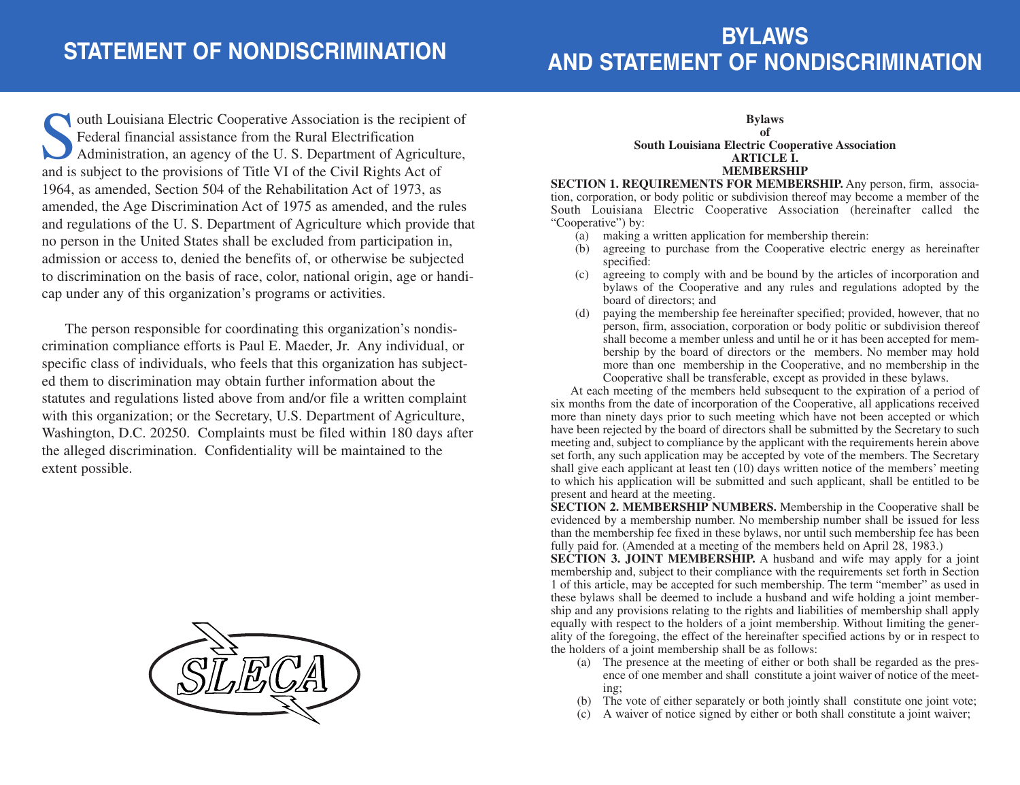# **BYLAWS AND STATEMENT OF NONDISCRIMINATION**

**South Louisiana Electric Cooperative Association is the recipient of Federal financial assistance from the Rural Electrification Administration, an agency of the U.S. Department of Agriculture, and is subject to the provi** Federal financial assistance from the Rural Electrification Administration, an agency of the U. S. Department of Agriculture, and is subject to the provisions of Title VI of the Civil Rights Act of 1964, as amended, Section 504 of the Rehabilitation Act of 1973, as amended, the Age Discrimination Act of 1975 as amended, and the rules and regulations of the U. S. Department of Agriculture which provide that no person in the United States shall be excluded from participation in, admission or access to, denied the benefits of, or otherwise be subjected to discrimination on the basis of race, color, national origin, age or handicap under any of this organization's programs or activities.

The person responsible for coordinating this organization's nondiscrimination compliance efforts is Paul E. Maeder, Jr. Any individual, or specific class of individuals, who feels that this organization has subjected them to discrimination may obtain further information about the statutes and regulations listed above from and/or file a written complaint with this organization; or the Secretary, U.S. Department of Agriculture, Washington, D.C. 20250. Complaints must be filed within 180 days after the alleged discrimination. Confidentiality will be maintained to the extent possible.



#### **Bylaws**

#### **of South Louisiana Electric Cooperative Association ARTICLE I. MEMBERSHIP**

**SECTION 1. REQUIREMENTS FOR MEMBERSHIP.** Any person, firm, association, corporation, or body politic or subdivision thereof may become a member of the South Louisiana Electric Cooperative Association (hereinafter called the "Cooperative") by:

- (a) making a written application for membership therein:
- (b) agreeing to purchase from the Cooperative electric energy as hereinafter specified:
- (c) agreeing to comply with and be bound by the articles of incorporation and bylaws of the Cooperative and any rules and regulations adopted by the board of directors; and
- (d) paying the membership fee hereinafter specified; provided, however, that no person, firm, association, corporation or body politic or subdivision thereof shall become a member unless and until he or it has been accepted for membership by the board of directors or the members. No member may hold more than one membership in the Cooperative, and no membership in the Cooperative shall be transferable, except as provided in these bylaws.

At each meeting of the members held subsequent to the expiration of a period of six months from the date of incorporation of the Cooperative, all applications received more than ninety days prior to such meeting which have not been accepted or which have been rejected by the board of directors shall be submitted by the Secretary to such meeting and, subject to compliance by the applicant with the requirements herein above set forth, any such application may be accepted by vote of the members. The Secretary shall give each applicant at least ten (10) days written notice of the members' meeting to which his application will be submitted and such applicant, shall be entitled to be present and heard at the meeting.

**SECTION 2. MEMBERSHIP NUMBERS.** Membership in the Cooperative shall be evidenced by a membership number. No membership number shall be issued for less than the membership fee fixed in these bylaws, nor until such membership fee has been fully paid for. (Amended at a meeting of the members held on April 28, 1983.)

**SECTION 3. JOINT MEMBERSHIP.** A husband and wife may apply for a joint membership and, subject to their compliance with the requirements set forth in Section 1 of this article, may be accepted for such membership. The term "member" as used in these bylaws shall be deemed to include a husband and wife holding a joint membership and any provisions relating to the rights and liabilities of membership shall apply equally with respect to the holders of a joint membership. Without limiting the generality of the foregoing, the effect of the hereinafter specified actions by or in respect to the holders of a joint membership shall be as follows:

- (a) The presence at the meeting of either or both shall be regarded as the presence of one member and shall constitute a joint waiver of notice of the meeting;
- (b) The vote of either separately or both jointly shall constitute one joint vote;
- (c) A waiver of notice signed by either or both shall constitute a joint waiver;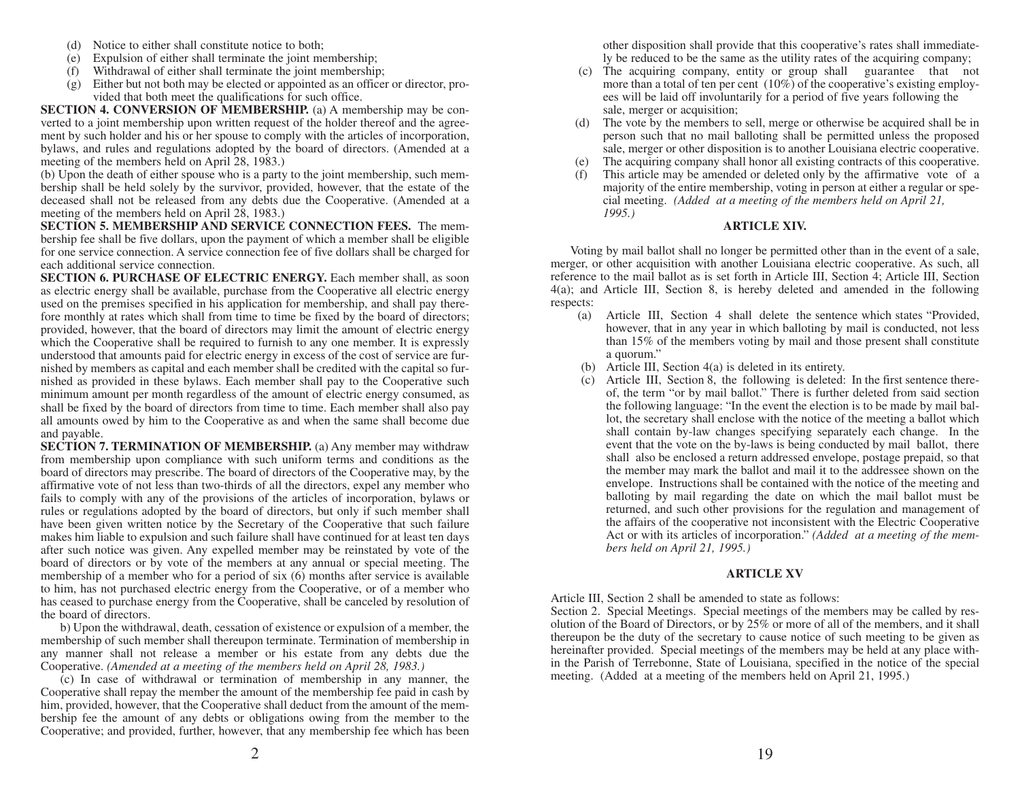- (d) Notice to either shall constitute notice to both;
- (e) Expulsion of either shall terminate the joint membership;
- (f) Withdrawal of either shall terminate the joint membership;
- (g) Either but not both may be elected or appointed as an officer or director, provided that both meet the qualifications for such office.

**SECTION 4. CONVERSION OF MEMBERSHIP.** (a) A membership may be converted to a joint membership upon written request of the holder thereof and the agreement by such holder and his or her spouse to comply with the articles of incorporation, bylaws, and rules and regulations adopted by the board of directors. (Amended at a meeting of the members held on April 28, 1983.)

(b) Upon the death of either spouse who is a party to the joint membership, such membership shall be held solely by the survivor, provided, however, that the estate of the deceased shall not be released from any debts due the Cooperative. (Amended at a meeting of the members held on April 28, 1983.)

**SECTION 5. MEMBERSHIP AND SERVICE CONNECTION FEES.** The membership fee shall be five dollars, upon the payment of which a member shall be eligible for one service connection. A service connection fee of five dollars shall be charged for each additional service connection.

**SECTION 6. PURCHASE OF ELECTRIC ENERGY.** Each member shall, as soon as electric energy shall be available, purchase from the Cooperative all electric energy used on the premises specified in his application for membership, and shall pay therefore monthly at rates which shall from time to time be fixed by the board of directors; provided, however, that the board of directors may limit the amount of electric energy which the Cooperative shall be required to furnish to any one member. It is expressly understood that amounts paid for electric energy in excess of the cost of service are furnished by members as capital and each member shall be credited with the capital so furnished as provided in these bylaws. Each member shall pay to the Cooperative such minimum amount per month regardless of the amount of electric energy consumed, as shall be fixed by the board of directors from time to time. Each member shall also pay all amounts owed by him to the Cooperative as and when the same shall become due and payable.

**SECTION 7. TERMINATION OF MEMBERSHIP.** (a) Any member may withdraw from membership upon compliance with such uniform terms and conditions as the board of directors may prescribe. The board of directors of the Cooperative may, by the affirmative vote of not less than two-thirds of all the directors, expel any member who fails to comply with any of the provisions of the articles of incorporation, bylaws or rules or regulations adopted by the board of directors, but only if such member shall have been given written notice by the Secretary of the Cooperative that such failure makes him liable to expulsion and such failure shall have continued for at least ten days after such notice was given. Any expelled member may be reinstated by vote of the board of directors or by vote of the members at any annual or special meeting. The membership of a member who for a period of six (6) months after service is available to him, has not purchased electric energy from the Cooperative, or of a member who has ceased to purchase energy from the Cooperative, shall be canceled by resolution of the board of directors.

b) Upon the withdrawal, death, cessation of existence or expulsion of a member, the membership of such member shall thereupon terminate. Termination of membership in any manner shall not release a member or his estate from any debts due the Cooperative. *(Amended at a meeting of the members held on April 28, 1983.)* 

(c) In case of withdrawal or termination of membership in any manner, the Cooperative shall repay the member the amount of the membership fee paid in cash by him, provided, however, that the Cooperative shall deduct from the amount of the membership fee the amount of any debts or obligations owing from the member to the Cooperative; and provided, further, however, that any membership fee which has been other disposition shall provide that this cooperative's rates shall immediately be reduced to be the same as the utility rates of the acquiring company;

- (c) The acquiring company, entity or group shall guarantee that not more than a total of ten per cent (10%) of the cooperative's existing employees will be laid off involuntarily for a period of five years following the sale, merger or acquisition;
- (d) The vote by the members to sell, merge or otherwise be acquired shall be in person such that no mail balloting shall be permitted unless the proposed sale, merger or other disposition is to another Louisiana electric cooperative.
- (e) The acquiring company shall honor all existing contracts of this cooperative.
- This article may be amended or deleted only by the affirmative vote of a majority of the entire membership, voting in person at either a regular or special meeting. *(Added at a meeting of the members held on April 21, 1995.)*

# **ARTICLE XIV.**

Voting by mail ballot shall no longer be permitted other than in the event of a sale, merger, or other acquisition with another Louisiana electric cooperative. As such, all reference to the mail ballot as is set forth in Article III, Section 4; Article III, Section 4(a); and Article III, Section 8, is hereby deleted and amended in the following respects:

- (a) Article III, Section 4 shall delete the sentence which states "Provided, however, that in any year in which balloting by mail is conducted, not less than 15% of the members voting by mail and those present shall constitute a quorum."
- (b) Article III, Section 4(a) is deleted in its entirety.
- (c) Article III, Section 8, the following is deleted: In the first sentence thereof, the term "or by mail ballot." There is further deleted from said section the following language: "In the event the election is to be made by mail ballot, the secretary shall enclose with the notice of the meeting a ballot which shall contain by-law changes specifying separately each change. In the event that the vote on the by-laws is being conducted by mail ballot, there shall also be enclosed a return addressed envelope, postage prepaid, so that the member may mark the ballot and mail it to the addressee shown on the envelope. Instructions shall be contained with the notice of the meeting and balloting by mail regarding the date on which the mail ballot must be returned, and such other provisions for the regulation and management of the affairs of the cooperative not inconsistent with the Electric Cooperative Act or with its articles of incorporation." *(Added at a meeting of the members held on April 21, 1995.)*

# **ARTICLE XV**

Article III, Section 2 shall be amended to state as follows:

Section 2. Special Meetings. Special meetings of the members may be called by resolution of the Board of Directors, or by 25% or more of all of the members, and it shall thereupon be the duty of the secretary to cause notice of such meeting to be given as hereinafter provided. Special meetings of the members may be held at any place within the Parish of Terrebonne, State of Louisiana, specified in the notice of the special meeting. (Added at a meeting of the members held on April 21, 1995.)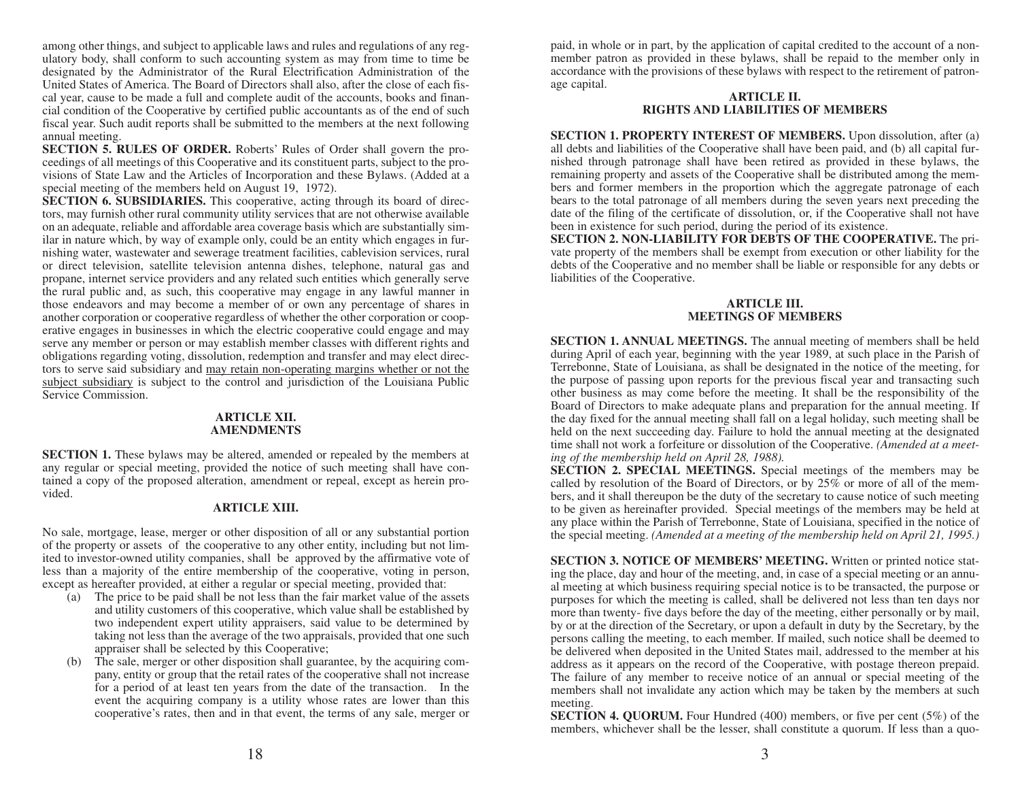among other things, and subject to applicable laws and rules and regulations of any regulatory body, shall conform to such accounting system as may from time to time be designated by the Administrator of the Rural Electrification Administration of the United States of America. The Board of Directors shall also, after the close of each fiscal year, cause to be made a full and complete audit of the accounts, books and financial condition of the Cooperative by certified public accountants as of the end of such fiscal year. Such audit reports shall be submitted to the members at the next following annual meeting.

**SECTION 5. RULES OF ORDER.** Roberts' Rules of Order shall govern the proceedings of all meetings of this Cooperative and its constituent parts, subject to the provisions of State Law and the Articles of Incorporation and these Bylaws. (Added at a special meeting of the members held on August 19, 1972).

**SECTION 6. SUBSIDIARIES.** This cooperative, acting through its board of directors, may furnish other rural community utility services that are not otherwise available on an adequate, reliable and affordable area coverage basis which are substantially similar in nature which, by way of example only, could be an entity which engages in furnishing water, wastewater and sewerage treatment facilities, cablevision services, rural or direct television, satellite television antenna dishes, telephone, natural gas and propane, internet service providers and any related such entities which generally serve the rural public and, as such, this cooperative may engage in any lawful manner in those endeavors and may become a member of or own any percentage of shares in another corporation or cooperative regardless of whether the other corporation or cooperative engages in businesses in which the electric cooperative could engage and may serve any member or person or may establish member classes with different rights and obligations regarding voting, dissolution, redemption and transfer and may elect directors to serve said subsidiary and may retain non-operating margins whether or not the subject subsidiary is subject to the control and jurisdiction of the Louisiana Public Service Commission.

## **ARTICLE XII. AMENDMENTS**

**SECTION 1.** These bylaws may be altered, amended or repealed by the members at any regular or special meeting, provided the notice of such meeting shall have contained a copy of the proposed alteration, amendment or repeal, except as herein provided.

# **ARTICLE XIII.**

No sale, mortgage, lease, merger or other disposition of all or any substantial portion of the property or assets of the cooperative to any other entity, including but not limited to investor-owned utility companies, shall be approved by the affirmative vote of less than a majority of the entire membership of the cooperative, voting in person, except as hereafter provided, at either a regular or special meeting, provided that:

- (a) The price to be paid shall be not less than the fair market value of the assets and utility customers of this cooperative, which value shall be established by two independent expert utility appraisers, said value to be determined by taking not less than the average of the two appraisals, provided that one such appraiser shall be selected by this Cooperative;
- The sale, merger or other disposition shall guarantee, by the acquiring company, entity or group that the retail rates of the cooperative shall not increase for a period of at least ten years from the date of the transaction. In the event the acquiring company is a utility whose rates are lower than this cooperative's rates, then and in that event, the terms of any sale, merger or

paid, in whole or in part, by the application of capital credited to the account of a nonmember patron as provided in these bylaws, shall be repaid to the member only in accordance with the provisions of these bylaws with respect to the retirement of patronage capital.

## **ARTICLE II. RIGHTS AND LIABILITIES OF MEMBERS**

**SECTION 1. PROPERTY INTEREST OF MEMBERS.** Upon dissolution, after (a) all debts and liabilities of the Cooperative shall have been paid, and (b) all capital furnished through patronage shall have been retired as provided in these bylaws, the remaining property and assets of the Cooperative shall be distributed among the members and former members in the proportion which the aggregate patronage of each bears to the total patronage of all members during the seven years next preceding the date of the filing of the certificate of dissolution, or, if the Cooperative shall not have been in existence for such period, during the period of its existence.

**SECTION 2. NON-LIABILITY FOR DEBTS OF THE COOPERATIVE.** The private property of the members shall be exempt from execution or other liability for the debts of the Cooperative and no member shall be liable or responsible for any debts or liabilities of the Cooperative.

#### **ARTICLE III. MEETINGS OF MEMBERS**

**SECTION 1. ANNUAL MEETINGS.** The annual meeting of members shall be held during April of each year, beginning with the year 1989, at such place in the Parish of Terrebonne, State of Louisiana, as shall be designated in the notice of the meeting, for the purpose of passing upon reports for the previous fiscal year and transacting such other business as may come before the meeting. It shall be the responsibility of the Board of Directors to make adequate plans and preparation for the annual meeting. If the day fixed for the annual meeting shall fall on a legal holiday, such meeting shall be held on the next succeeding day. Failure to hold the annual meeting at the designated time shall not work a forfeiture or dissolution of the Cooperative. *(Amended at a meeting of the membership held on April 28, 1988).* 

**SECTION 2. SPECIAL MEETINGS.** Special meetings of the members may be called by resolution of the Board of Directors, or by 25% or more of all of the members, and it shall thereupon be the duty of the secretary to cause notice of such meeting to be given as hereinafter provided. Special meetings of the members may be held at any place within the Parish of Terrebonne, State of Louisiana, specified in the notice of the special meeting. *(Amended at a meeting of the membership held on April 21, 1995.)*

**SECTION 3. NOTICE OF MEMBERS' MEETING.** Written or printed notice stating the place, day and hour of the meeting, and, in case of a special meeting or an annual meeting at which business requiring special notice is to be transacted, the purpose or purposes for which the meeting is called, shall be delivered not less than ten days nor more than twenty- five days before the day of the meeting, either personally or by mail, by or at the direction of the Secretary, or upon a default in duty by the Secretary, by the persons calling the meeting, to each member. If mailed, such notice shall be deemed to be delivered when deposited in the United States mail, addressed to the member at his address as it appears on the record of the Cooperative, with postage thereon prepaid. The failure of any member to receive notice of an annual or special meeting of the members shall not invalidate any action which may be taken by the members at such meeting.

**SECTION 4. QUORUM.** Four Hundred (400) members, or five per cent (5%) of the members, whichever shall be the lesser, shall constitute a quorum. If less than a quo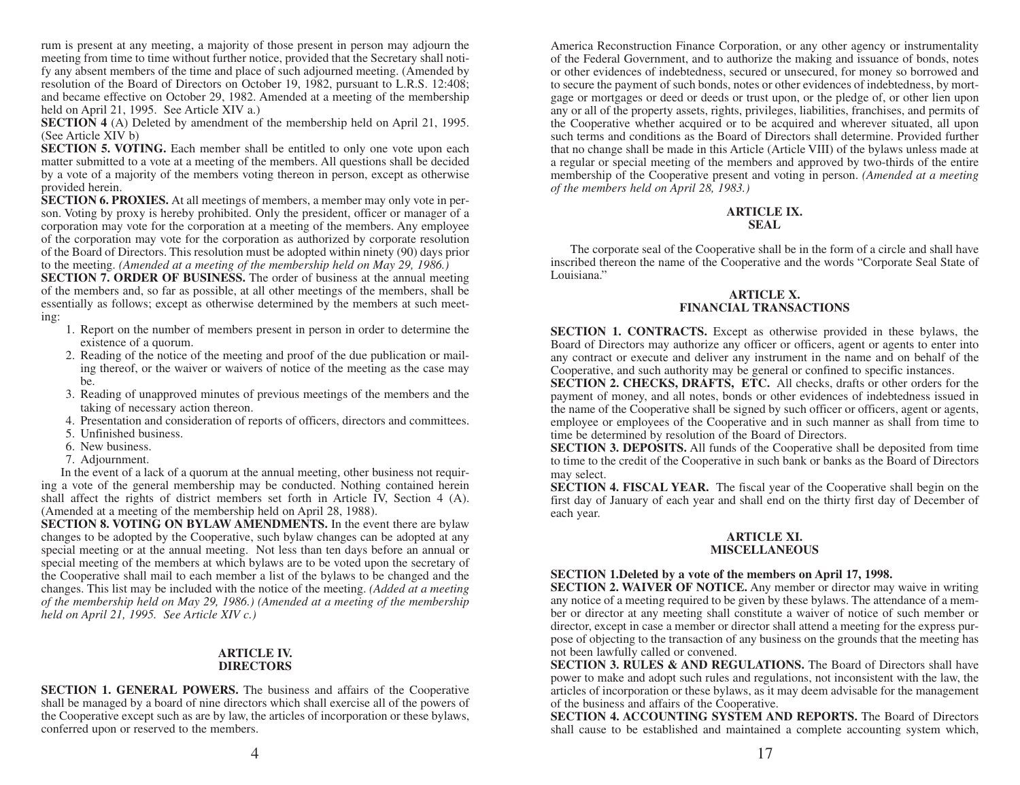rum is present at any meeting, a majority of those present in person may adjourn the meeting from time to time without further notice, provided that the Secretary shall notify any absent members of the time and place of such adjourned meeting. (Amended by resolution of the Board of Directors on October 19, 1982, pursuant to L.R.S. 12:408; and became effective on October 29, 1982. Amended at a meeting of the membership held on April 21, 1995. See Article XIV a.)

**SECTION 4** (A) Deleted by amendment of the membership held on April 21, 1995. (See Article XIV b)

**SECTION 5. VOTING.** Each member shall be entitled to only one vote upon each matter submitted to a vote at a meeting of the members. All questions shall be decided by a vote of a majority of the members voting thereon in person, except as otherwise provided herein.

**SECTION 6. PROXIES.** At all meetings of members, a member may only vote in person. Voting by proxy is hereby prohibited. Only the president, officer or manager of a corporation may vote for the corporation at a meeting of the members. Any employee of the corporation may vote for the corporation as authorized by corporate resolution of the Board of Directors. This resolution must be adopted within ninety (90) days prior to the meeting. *(Amended at a meeting of the membership held on May 29, 1986.)* 

**SECTION 7. ORDER OF BUSINESS.** The order of business at the annual meeting of the members and, so far as possible, at all other meetings of the members, shall be essentially as follows; except as otherwise determined by the members at such meeting:

- 1. Report on the number of members present in person in order to determine the existence of a quorum.
- 2. Reading of the notice of the meeting and proof of the due publication or mailing thereof, or the waiver or waivers of notice of the meeting as the case may be.
- 3. Reading of unapproved minutes of previous meetings of the members and the taking of necessary action thereon.
- 4. Presentation and consideration of reports of officers, directors and committees.
- 5. Unfinished business.
- 6. New business.
- 7. Adjournment.

In the event of a lack of a quorum at the annual meeting, other business not requiring a vote of the general membership may be conducted. Nothing contained herein shall affect the rights of district members set forth in Article IV, Section 4 (A). (Amended at a meeting of the membership held on April 28, 1988).

**SECTION 8. VOTING ON BYLAW AMENDMENTS.** In the event there are bylaw changes to be adopted by the Cooperative, such bylaw changes can be adopted at any special meeting or at the annual meeting. Not less than ten days before an annual or special meeting of the members at which bylaws are to be voted upon the secretary of the Cooperative shall mail to each member a list of the bylaws to be changed and the changes. This list may be included with the notice of the meeting. *(Added at a meeting of the membership held on May 29, 1986.) (Amended at a meeting of the membership held on April 21, 1995. See Article XIV c.)*

#### **ARTICLE IV. DIRECTORS**

**SECTION 1. GENERAL POWERS.** The business and affairs of the Cooperative shall be managed by a board of nine directors which shall exercise all of the powers of the Cooperative except such as are by law, the articles of incorporation or these bylaws, conferred upon or reserved to the members.

America Reconstruction Finance Corporation, or any other agency or instrumentality of the Federal Government, and to authorize the making and issuance of bonds, notes or other evidences of indebtedness, secured or unsecured, for money so borrowed and to secure the payment of such bonds, notes or other evidences of indebtedness, by mortgage or mortgages or deed or deeds or trust upon, or the pledge of, or other lien upon any or all of the property assets, rights, privileges, liabilities, franchises, and permits of the Cooperative whether acquired or to be acquired and wherever situated, all upon such terms and conditions as the Board of Directors shall determine. Provided further that no change shall be made in this Article (Article VIII) of the bylaws unless made at a regular or special meeting of the members and approved by two-thirds of the entire membership of the Cooperative present and voting in person. *(Amended at a meeting of the members held on April 28, 1983.)* 

# **ARTICLE IX. SEAL**

The corporate seal of the Cooperative shall be in the form of a circle and shall have inscribed thereon the name of the Cooperative and the words "Corporate Seal State of Louisiana."

# **ARTICLE X. FINANCIAL TRANSACTIONS**

**SECTION 1. CONTRACTS.** Except as otherwise provided in these bylaws, the Board of Directors may authorize any officer or officers, agent or agents to enter into any contract or execute and deliver any instrument in the name and on behalf of the Cooperative, and such authority may be general or confined to specific instances.

**SECTION 2. CHECKS, DRAFTS, ETC.** All checks, drafts or other orders for the payment of money, and all notes, bonds or other evidences of indebtedness issued in the name of the Cooperative shall be signed by such officer or officers, agent or agents, employee or employees of the Cooperative and in such manner as shall from time to time be determined by resolution of the Board of Directors.

**SECTION 3. DEPOSITS.** All funds of the Cooperative shall be deposited from time to time to the credit of the Cooperative in such bank or banks as the Board of Directors may select.

**SECTION 4. FISCAL YEAR.** The fiscal year of the Cooperative shall begin on the first day of January of each year and shall end on the thirty first day of December of each year.

# **ARTICLE XI. MISCELLANEOUS**

# **SECTION 1.Deleted by a vote of the members on April 17, 1998.**

**SECTION 2. WAIVER OF NOTICE.** Any member or director may waive in writing any notice of a meeting required to be given by these bylaws. The attendance of a member or director at any meeting shall constitute a waiver of notice of such member or director, except in case a member or director shall attend a meeting for the express purpose of objecting to the transaction of any business on the grounds that the meeting has not been lawfully called or convened.

**SECTION 3. RULES & AND REGULATIONS.** The Board of Directors shall have power to make and adopt such rules and regulations, not inconsistent with the law, the articles of incorporation or these bylaws, as it may deem advisable for the management of the business and affairs of the Cooperative.

**SECTION 4. ACCOUNTING SYSTEM AND REPORTS.** The Board of Directors shall cause to be established and maintained a complete accounting system which,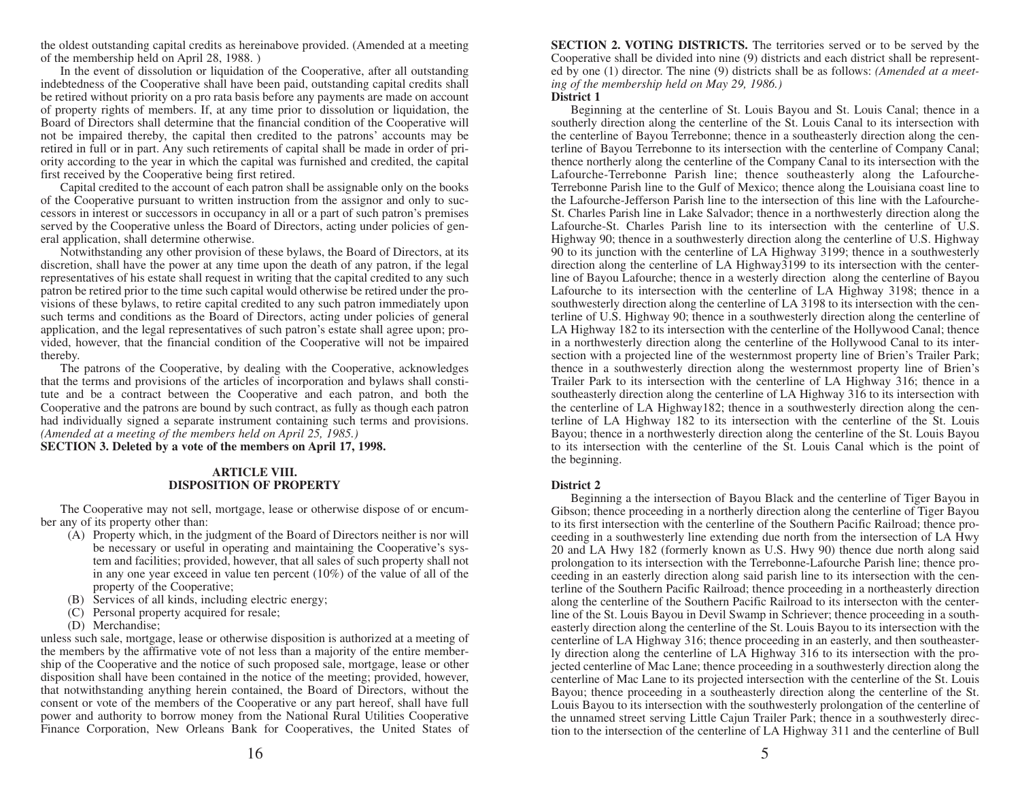the oldest outstanding capital credits as hereinabove provided. (Amended at a meeting of the membership held on April 28, 1988. )

In the event of dissolution or liquidation of the Cooperative, after all outstanding indebtedness of the Cooperative shall have been paid, outstanding capital credits shall be retired without priority on a pro rata basis before any payments are made on account of property rights of members. If, at any time prior to dissolution or liquidation, the Board of Directors shall determine that the financial condition of the Cooperative will not be impaired thereby, the capital then credited to the patrons' accounts may be retired in full or in part. Any such retirements of capital shall be made in order of priority according to the year in which the capital was furnished and credited, the capital first received by the Cooperative being first retired.

Capital credited to the account of each patron shall be assignable only on the books of the Cooperative pursuant to written instruction from the assignor and only to successors in interest or successors in occupancy in all or a part of such patron's premises served by the Cooperative unless the Board of Directors, acting under policies of general application, shall determine otherwise.

Notwithstanding any other provision of these bylaws, the Board of Directors, at its discretion, shall have the power at any time upon the death of any patron, if the legal representatives of his estate shall request in writing that the capital credited to any such patron be retired prior to the time such capital would otherwise be retired under the provisions of these bylaws, to retire capital credited to any such patron immediately upon such terms and conditions as the Board of Directors, acting under policies of general application, and the legal representatives of such patron's estate shall agree upon; provided, however, that the financial condition of the Cooperative will not be impaired thereby.

The patrons of the Cooperative, by dealing with the Cooperative, acknowledges that the terms and provisions of the articles of incorporation and bylaws shall constitute and be a contract between the Cooperative and each patron, and both the Cooperative and the patrons are bound by such contract, as fully as though each patron had individually signed a separate instrument containing such terms and provisions. *(Amended at a meeting of the members held on April 25, 1985.)* 

**SECTION 3. Deleted by a vote of the members on April 17, 1998.**

#### **ARTICLE VIII. DISPOSITION OF PROPERTY**

The Cooperative may not sell, mortgage, lease or otherwise dispose of or encumber any of its property other than:

- (A) Property which, in the judgment of the Board of Directors neither is nor will be necessary or useful in operating and maintaining the Cooperative's system and facilities; provided, however, that all sales of such property shall not in any one year exceed in value ten percent (10%) of the value of all of the property of the Cooperative;
- (B) Services of all kinds, including electric energy;
- (C) Personal property acquired for resale;
- (D) Merchandise;

unless such sale, mortgage, lease or otherwise disposition is authorized at a meeting of the members by the affirmative vote of not less than a majority of the entire membership of the Cooperative and the notice of such proposed sale, mortgage, lease or other disposition shall have been contained in the notice of the meeting; provided, however, that notwithstanding anything herein contained, the Board of Directors, without the consent or vote of the members of the Cooperative or any part hereof, shall have full power and authority to borrow money from the National Rural Utilities Cooperative Finance Corporation, New Orleans Bank for Cooperatives, the United States of **SECTION 2. VOTING DISTRICTS.** The territories served or to be served by the Cooperative shall be divided into nine (9) districts and each district shall be represented by one (1) director. The nine (9) districts shall be as follows: *(Amended at a meeting of the membership held on May 29, 1986.)* 

#### **District 1**

Beginning at the centerline of St. Louis Bayou and St. Louis Canal; thence in a southerly direction along the centerline of the St. Louis Canal to its intersection with the centerline of Bayou Terrebonne; thence in a southeasterly direction along the centerline of Bayou Terrebonne to its intersection with the centerline of Company Canal; thence northerly along the centerline of the Company Canal to its intersection with the Lafourche-Terrebonne Parish line; thence southeasterly along the Lafourche-Terrebonne Parish line to the Gulf of Mexico; thence along the Louisiana coast line to the Lafourche-Jefferson Parish line to the intersection of this line with the Lafourche-St. Charles Parish line in Lake Salvador; thence in a northwesterly direction along the Lafourche-St. Charles Parish line to its intersection with the centerline of U.S. Highway 90; thence in a southwesterly direction along the centerline of U.S. Highway 90 to its junction with the centerline of LA Highway 3199; thence in a southwesterly direction along the centerline of LA Highway3199 to its intersection with the centerline of Bayou Lafourche; thence in a westerly direction along the centerline of Bayou Lafourche to its intersection with the centerline of LA Highway 3198; thence in a southwesterly direction along the centerline of LA 3198 to its intersection with the centerline of U.S. Highway 90; thence in a southwesterly direction along the centerline of LA Highway 182 to its intersection with the centerline of the Hollywood Canal; thence in a northwesterly direction along the centerline of the Hollywood Canal to its intersection with a projected line of the westernmost property line of Brien's Trailer Park; thence in a southwesterly direction along the westernmost property line of Brien's Trailer Park to its intersection with the centerline of LA Highway 316; thence in a southeasterly direction along the centerline of LA Highway 316 to its intersection with the centerline of LA Highway182; thence in a southwesterly direction along the centerline of LA Highway 182 to its intersection with the centerline of the St. Louis Bayou; thence in a northwesterly direction along the centerline of the St. Louis Bayou to its intersection with the centerline of the St. Louis Canal which is the point of the beginning.

#### **District 2**

Beginning a the intersection of Bayou Black and the centerline of Tiger Bayou in Gibson; thence proceeding in a northerly direction along the centerline of Tiger Bayou to its first intersection with the centerline of the Southern Pacific Railroad; thence proceeding in a southwesterly line extending due north from the intersection of LA Hwy 20 and LA Hwy 182 (formerly known as U.S. Hwy 90) thence due north along said prolongation to its intersection with the Terrebonne-Lafourche Parish line; thence proceeding in an easterly direction along said parish line to its intersection with the centerline of the Southern Pacific Railroad; thence proceeding in a northeasterly direction along the centerline of the Southern Pacific Railroad to its intersecton with the centerline of the St. Louis Bayou in Devil Swamp in Schriever; thence proceeding in a southeasterly direction along the centerline of the St. Louis Bayou to its intersection with the centerline of LA Highway 316; thence proceeding in an easterly, and then southeasterly direction along the centerline of LA Highway 316 to its intersection with the projected centerline of Mac Lane; thence proceeding in a southwesterly direction along the centerline of Mac Lane to its projected intersection with the centerline of the St. Louis Bayou; thence proceeding in a southeasterly direction along the centerline of the St. Louis Bayou to its intersection with the southwesterly prolongation of the centerline of the unnamed street serving Little Cajun Trailer Park; thence in a southwesterly direction to the intersection of the centerline of LA Highway 311 and the centerline of Bull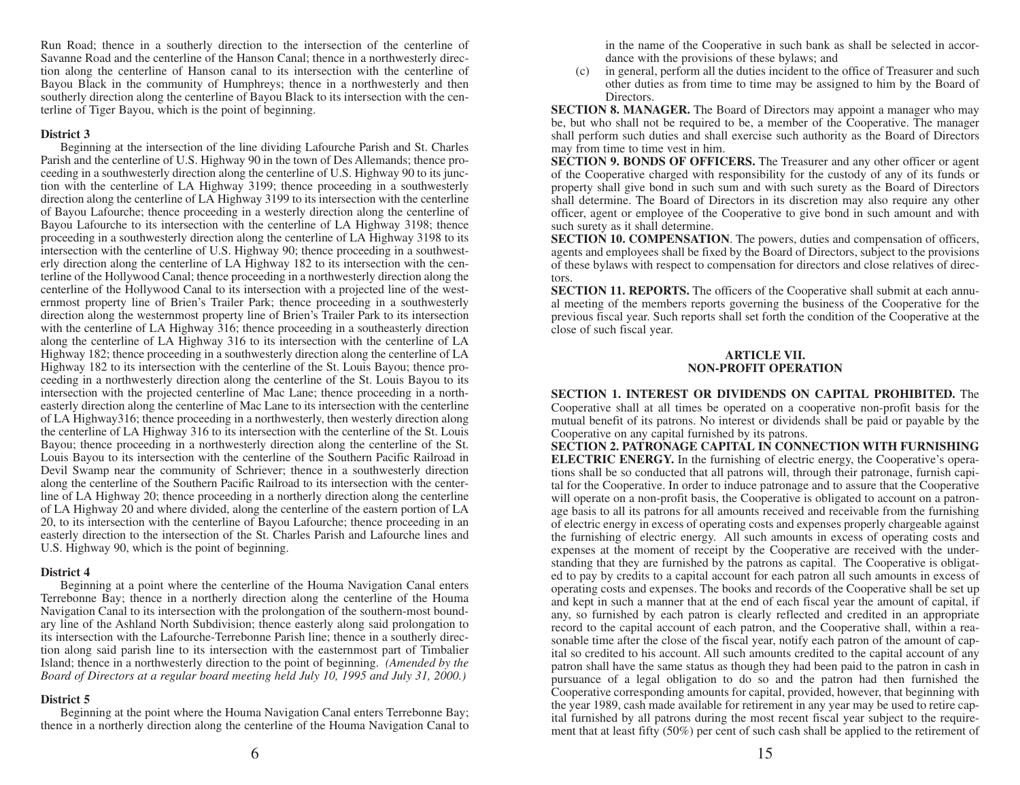Run Road; thence in a southerly direction to the intersection of the centerline of Savanne Road and the centerline of the Hanson Canal; thence in a northwesterly direction along the centerline of Hanson canal to its intersection with the centerline of Bayou Black in the community of Humphreys; thence in a northwesterly and then southerly direction along the centerline of Bayou Black to its intersection with the centerline of Tiger Bayou, which is the point of beginning.

# **District 3**

Beginning at the intersection of the line dividing Lafourche Parish and St. Charles Parish and the centerline of U.S. Highway 90 in the town of Des Allemands; thence proceeding in a southwesterly direction along the centerline of U.S. Highway 90 to its junction with the centerline of LA Highway 3199; thence proceeding in a southwesterly direction along the centerline of LA Highway 3199 to its intersection with the centerline of Bayou Lafourche; thence proceeding in a westerly direction along the centerline of Bayou Lafourche to its intersection with the centerline of LA Highway 3198; thence proceeding in a southwesterly direction along the centerline of LA Highway 3198 to its intersection with the centerline of U.S. Highway 90; thence proceeding in a southwesterly direction along the centerline of LA Highway 182 to its intersection with the centerline of the Hollywood Canal; thence proceeding in a northwesterly direction along the centerline of the Hollywood Canal to its intersection with a projected line of the westernmost property line of Brien's Trailer Park; thence proceeding in a southwesterly direction along the westernmost property line of Brien's Trailer Park to its intersection with the centerline of LA Highway 316; thence proceeding in a southeasterly direction along the centerline of LA Highway 316 to its intersection with the centerline of LA Highway 182; thence proceeding in a southwesterly direction along the centerline of LA Highway 182 to its intersection with the centerline of the St. Louis Bayou; thence proceeding in a northwesterly direction along the centerline of the St. Louis Bayou to its intersection with the projected centerline of Mac Lane; thence proceeding in a northeasterly direction along the centerline of Mac Lane to its intersection with the centerline of LA Highway316; thence proceeding in a northwesterly, then westerly direction along the centerline of LA Highway 316 to its intersection with the centerline of the St. Louis Bayou; thence proceeding in a northwesterly direction along the centerline of the St. Louis Bayou to its intersection with the centerline of the Southern Pacific Railroad in Devil Swamp near the community of Schriever; thence in a southwesterly direction along the centerline of the Southern Pacific Railroad to its intersection with the centerline of LA Highway 20; thence proceeding in a northerly direction along the centerline of LA Highway 20 and where divided, along the centerline of the eastern portion of LA 20, to its intersection with the centerline of Bayou Lafourche; thence proceeding in an easterly direction to the intersection of the St. Charles Parish and Lafourche lines and U.S. Highway 90, which is the point of beginning.

# **District 4**

Beginning at a point where the centerline of the Houma Navigation Canal enters Terrebonne Bay; thence in a northerly direction along the centerline of the Houma Navigation Canal to its intersection with the prolongation of the southern-most boundary line of the Ashland North Subdivision; thence easterly along said prolongation to its intersection with the Lafourche-Terrebonne Parish line; thence in a southerly direction along said parish line to its intersection with the easternmost part of Timbalier Island; thence in a northwesterly direction to the point of beginning. *(Amended by the Board of Directors at a regular board meeting held July 10, 1995 and July 31, 2000.)*

# **District 5**

Beginning at the point where the Houma Navigation Canal enters Terrebonne Bay; thence in a northerly direction along the centerline of the Houma Navigation Canal to

in the name of the Cooperative in such bank as shall be selected in accordance with the provisions of these bylaws; and

(c) in general, perform all the duties incident to the office of Treasurer and such other duties as from time to time may be assigned to him by the Board of Directors.

**SECTION 8. MANAGER.** The Board of Directors may appoint a manager who may be, but who shall not be required to be, a member of the Cooperative. The manager shall perform such duties and shall exercise such authority as the Board of Directors may from time to time vest in him.

**SECTION 9. BONDS OF OFFICERS.** The Treasurer and any other officer or agent of the Cooperative charged with responsibility for the custody of any of its funds or property shall give bond in such sum and with such surety as the Board of Directors shall determine. The Board of Directors in its discretion may also require any other officer, agent or employee of the Cooperative to give bond in such amount and with such surety as it shall determine.

**SECTION 10. COMPENSATION**. The powers, duties and compensation of officers, agents and employees shall be fixed by the Board of Directors, subject to the provisions of these bylaws with respect to compensation for directors and close relatives of directors.

**SECTION 11. REPORTS.** The officers of the Cooperative shall submit at each annual meeting of the members reports governing the business of the Cooperative for the previous fiscal year. Such reports shall set forth the condition of the Cooperative at the close of such fiscal year.

#### **ARTICLE VII. NON-PROFIT OPERATION**

**SECTION 1. INTEREST OR DIVIDENDS ON CAPITAL PROHIBITED.** The Cooperative shall at all times be operated on a cooperative non-profit basis for the mutual benefit of its patrons. No interest or dividends shall be paid or payable by the Cooperative on any capital furnished by its patrons.

**SECTION 2. PATRONAGE CAPITAL IN CONNECTION WITH FURNISHING ELECTRIC ENERGY.** In the furnishing of electric energy, the Cooperative's operations shall be so conducted that all patrons will, through their patronage, furnish capital for the Cooperative. In order to induce patronage and to assure that the Cooperative will operate on a non-profit basis, the Cooperative is obligated to account on a patronage basis to all its patrons for all amounts received and receivable from the furnishing of electric energy in excess of operating costs and expenses properly chargeable against the furnishing of electric energy. All such amounts in excess of operating costs and expenses at the moment of receipt by the Cooperative are received with the understanding that they are furnished by the patrons as capital. The Cooperative is obligated to pay by credits to a capital account for each patron all such amounts in excess of operating costs and expenses. The books and records of the Cooperative shall be set up and kept in such a manner that at the end of each fiscal year the amount of capital, if any, so furnished by each patron is clearly reflected and credited in an appropriate record to the capital account of each patron, and the Cooperative shall, within a reasonable time after the close of the fiscal year, notify each patron of the amount of capital so credited to his account. All such amounts credited to the capital account of any patron shall have the same status as though they had been paid to the patron in cash in pursuance of a legal obligation to do so and the patron had then furnished the Cooperative corresponding amounts for capital, provided, however, that beginning with the year 1989, cash made available for retirement in any year may be used to retire capital furnished by all patrons during the most recent fiscal year subject to the requirement that at least fifty (50%) per cent of such cash shall be applied to the retirement of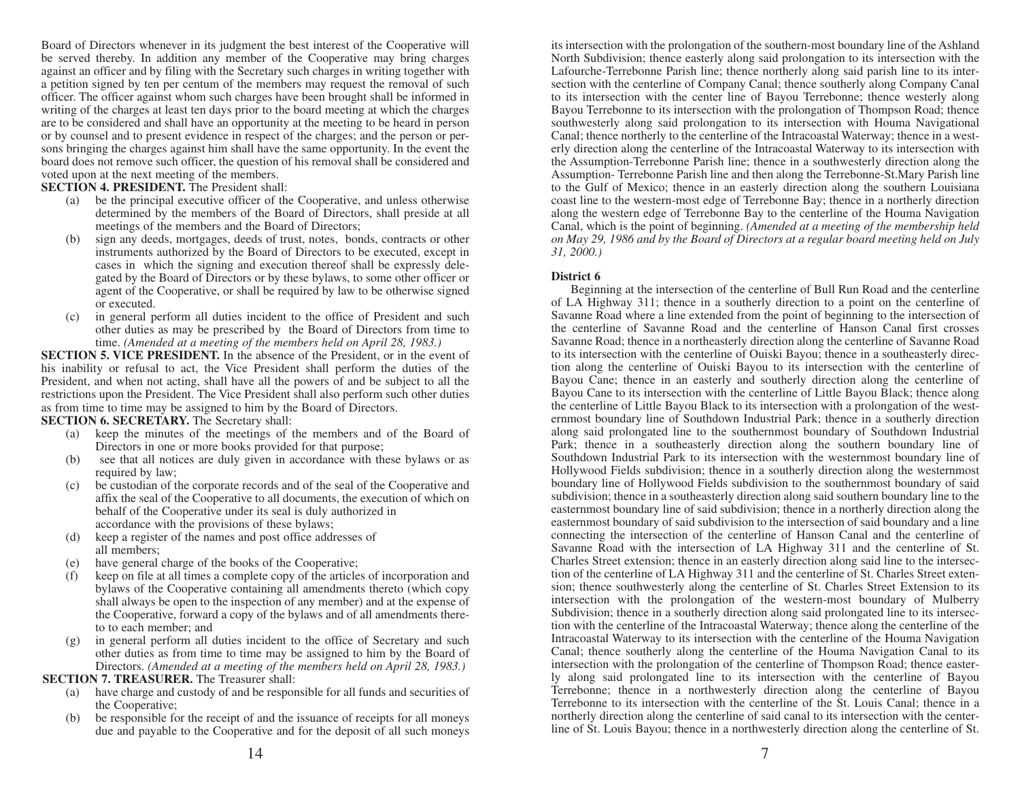Board of Directors whenever in its judgment the best interest of the Cooperative will be served thereby. In addition any member of the Cooperative may bring charges against an officer and by filing with the Secretary such charges in writing together with a petition signed by ten per centum of the members may request the removal of such officer. The officer against whom such charges have been brought shall be informed in writing of the charges at least ten days prior to the board meeting at which the charges are to be considered and shall have an opportunity at the meeting to be heard in person or by counsel and to present evidence in respect of the charges; and the person or persons bringing the charges against him shall have the same opportunity. In the event the board does not remove such officer, the question of his removal shall be considered and voted upon at the next meeting of the members.

**SECTION 4. PRESIDENT.** The President shall:

- (a) be the principal executive officer of the Cooperative, and unless otherwise determined by the members of the Board of Directors, shall preside at all meetings of the members and the Board of Directors;
- (b) sign any deeds, mortgages, deeds of trust, notes, bonds, contracts or other instruments authorized by the Board of Directors to be executed, except in cases in which the signing and execution thereof shall be expressly delegated by the Board of Directors or by these bylaws, to some other officer or agent of the Cooperative, or shall be required by law to be otherwise signed or executed.
- (c) in general perform all duties incident to the office of President and such other duties as may be prescribed by the Board of Directors from time to time. *(Amended at a meeting of the members held on April 28, 1983.)*

**SECTION 5. VICE PRESIDENT.** In the absence of the President, or in the event of his inability or refusal to act, the Vice President shall perform the duties of the President, and when not acting, shall have all the powers of and be subject to all the restrictions upon the President. The Vice President shall also perform such other duties as from time to time may be assigned to him by the Board of Directors.

**SECTION 6. SECRETARY.** The Secretary shall:

- (a) keep the minutes of the meetings of the members and of the Board of Directors in one or more books provided for that purpose;
- (b) see that all notices are duly given in accordance with these bylaws or as required by law;
- be custodian of the corporate records and of the seal of the Cooperative and affix the seal of the Cooperative to all documents, the execution of which on behalf of the Cooperative under its seal is duly authorized in accordance with the provisions of these bylaws;
- (d) keep a register of the names and post office addresses of all members;
- (e) have general charge of the books of the Cooperative;
- (f) keep on file at all times a complete copy of the articles of incorporation and bylaws of the Cooperative containing all amendments thereto (which copy shall always be open to the inspection of any member) and at the expense of the Cooperative, forward a copy of the bylaws and of all amendments thereto to each member; and
- (g) in general perform all duties incident to the office of Secretary and such other duties as from time to time may be assigned to him by the Board of Directors. *(Amended at a meeting of the members held on April 28, 1983.)*

# **SECTION 7. TREASURER.** The Treasurer shall:

- (a) have charge and custody of and be responsible for all funds and securities of the Cooperative;
- (b) be responsible for the receipt of and the issuance of receipts for all moneys due and payable to the Cooperative and for the deposit of all such moneys

its intersection with the prolongation of the southern-most boundary line of the Ashland North Subdivision; thence easterly along said prolongation to its intersection with the Lafourche-Terrebonne Parish line; thence northerly along said parish line to its intersection with the centerline of Company Canal; thence southerly along Company Canal to its intersection with the center line of Bayou Terrebonne; thence westerly along Bayou Terrebonne to its intersection with the prolongation of Thompson Road; thence southwesterly along said prolongation to its intersection with Houma Navigational Canal; thence northerly to the centerline of the Intracoastal Waterway; thence in a westerly direction along the centerline of the Intracoastal Waterway to its intersection with the Assumption-Terrebonne Parish line; thence in a southwesterly direction along the Assumption- Terrebonne Parish line and then along the Terrebonne-St.Mary Parish line to the Gulf of Mexico; thence in an easterly direction along the southern Louisiana coast line to the western-most edge of Terrebonne Bay; thence in a northerly direction along the western edge of Terrebonne Bay to the centerline of the Houma Navigation Canal, which is the point of beginning. *(Amended at a meeting of the membership held on May 29, 1986 and by the Board of Directors at a regular board meeting held on July 31, 2000.)*

# **District 6**

Beginning at the intersection of the centerline of Bull Run Road and the centerline of LA Highway 311; thence in a southerly direction to a point on the centerline of Savanne Road where a line extended from the point of beginning to the intersection of the centerline of Savanne Road and the centerline of Hanson Canal first crosses Savanne Road; thence in a northeasterly direction along the centerline of Savanne Road to its intersection with the centerline of Ouiski Bayou; thence in a southeasterly direction along the centerline of Ouiski Bayou to its intersection with the centerline of Bayou Cane; thence in an easterly and southerly direction along the centerline of Bayou Cane to its intersection with the centerline of Little Bayou Black; thence along the centerline of Little Bayou Black to its intersection with a prolongation of the westernmost boundary line of Southdown Industrial Park; thence in a southerly direction along said prolongated line to the southernmost boundary of Southdown Industrial Park; thence in a southeasterly direction along the southern boundary line of Southdown Industrial Park to its intersection with the westernmost boundary line of Hollywood Fields subdivision; thence in a southerly direction along the westernmost boundary line of Hollywood Fields subdivision to the southernmost boundary of said subdivision; thence in a southeasterly direction along said southern boundary line to the easternmost boundary line of said subdivision; thence in a northerly direction along the easternmost boundary of said subdivision to the intersection of said boundary and a line connecting the intersection of the centerline of Hanson Canal and the centerline of Savanne Road with the intersection of LA Highway 311 and the centerline of St. Charles Street extension; thence in an easterly direction along said line to the intersection of the centerline of LA Highway 311 and the centerline of St. Charles Street extension; thence southwesterly along the centerline of St. Charles Street Extension to its intersection with the prolongation of the western-most boundary of Mulberry Subdivision; thence in a southerly direction along said prolongated line to its intersection with the centerline of the Intracoastal Waterway; thence along the centerline of the Intracoastal Waterway to its intersection with the centerline of the Houma Navigation Canal; thence southerly along the centerline of the Houma Navigation Canal to its intersection with the prolongation of the centerline of Thompson Road; thence easterly along said prolongated line to its intersection with the centerline of Bayou Terrebonne; thence in a northwesterly direction along the centerline of Bayou Terrebonne to its intersection with the centerline of the St. Louis Canal; thence in a northerly direction along the centerline of said canal to its intersection with the centerline of St. Louis Bayou; thence in a northwesterly direction along the centerline of St.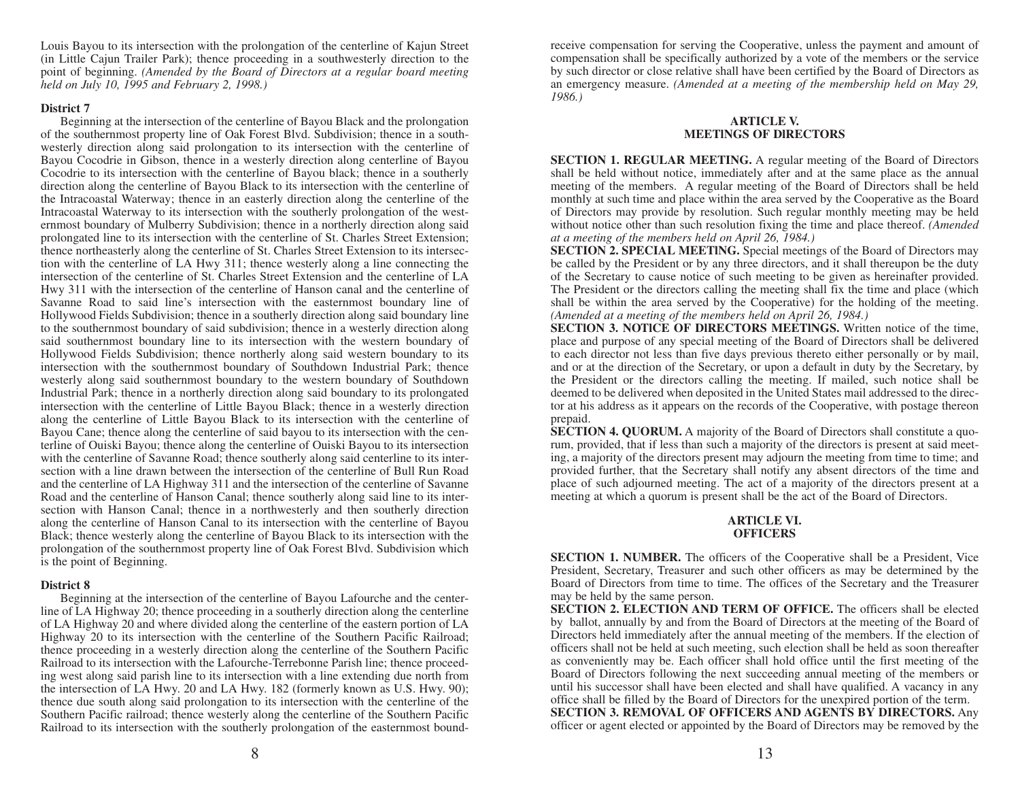Louis Bayou to its intersection with the prolongation of the centerline of Kajun Street (in Little Cajun Trailer Park); thence proceeding in a southwesterly direction to the point of beginning. *(Amended by the Board of Directors at a regular board meeting held on July 10, 1995 and February 2, 1998.)*

#### **District 7**

Beginning at the intersection of the centerline of Bayou Black and the prolongation of the southernmost property line of Oak Forest Blvd. Subdivision; thence in a southwesterly direction along said prolongation to its intersection with the centerline of Bayou Cocodrie in Gibson, thence in a westerly direction along centerline of Bayou Cocodrie to its intersection with the centerline of Bayou black; thence in a southerly direction along the centerline of Bayou Black to its intersection with the centerline of the Intracoastal Waterway; thence in an easterly direction along the centerline of the Intracoastal Waterway to its intersection with the southerly prolongation of the westernmost boundary of Mulberry Subdivision; thence in a northerly direction along said prolongated line to its intersection with the centerline of St. Charles Street Extension; thence northeasterly along the centerline of St. Charles Street Extension to its intersection with the centerline of LA Hwy 311; thence westerly along a line connecting the intersection of the centerline of St. Charles Street Extension and the centerline of LA Hwy 311 with the intersection of the centerline of Hanson canal and the centerline of Savanne Road to said line's intersection with the easternmost boundary line of Hollywood Fields Subdivision; thence in a southerly direction along said boundary line to the southernmost boundary of said subdivision; thence in a westerly direction along said southernmost boundary line to its intersection with the western boundary of Hollywood Fields Subdivision; thence northerly along said western boundary to its intersection with the southernmost boundary of Southdown Industrial Park; thence westerly along said southernmost boundary to the western boundary of Southdown Industrial Park; thence in a northerly direction along said boundary to its prolongated intersection with the centerline of Little Bayou Black; thence in a westerly direction along the centerline of Little Bayou Black to its intersection with the centerline of Bayou Cane; thence along the centerline of said bayou to its intersection with the centerline of Ouiski Bayou; thence along the centerline of Ouiski Bayou to its intersection with the centerline of Savanne Road; thence southerly along said centerline to its intersection with a line drawn between the intersection of the centerline of Bull Run Road and the centerline of LA Highway 311 and the intersection of the centerline of Savanne Road and the centerline of Hanson Canal; thence southerly along said line to its intersection with Hanson Canal; thence in a northwesterly and then southerly direction along the centerline of Hanson Canal to its intersection with the centerline of Bayou Black; thence westerly along the centerline of Bayou Black to its intersection with the prolongation of the southernmost property line of Oak Forest Blvd. Subdivision which is the point of Beginning.

# **District 8**

Beginning at the intersection of the centerline of Bayou Lafourche and the centerline of LA Highway 20; thence proceeding in a southerly direction along the centerline of LA Highway 20 and where divided along the centerline of the eastern portion of LA Highway 20 to its intersection with the centerline of the Southern Pacific Railroad; thence proceeding in a westerly direction along the centerline of the Southern Pacific Railroad to its intersection with the Lafourche-Terrebonne Parish line; thence proceeding west along said parish line to its intersection with a line extending due north from the intersection of LA Hwy. 20 and LA Hwy. 182 (formerly known as U.S. Hwy. 90); thence due south along said prolongation to its intersection with the centerline of the Southern Pacific railroad; thence westerly along the centerline of the Southern Pacific Railroad to its intersection with the southerly prolongation of the easternmost boundreceive compensation for serving the Cooperative, unless the payment and amount of compensation shall be specifically authorized by a vote of the members or the service by such director or close relative shall have been certified by the Board of Directors as an emergency measure. *(Amended at a meeting of the membership held on May 29, 1986.)* 

# **ARTICLE V. MEETlNGS OF DlRECTORS**

**SECTION 1. REGULAR MEETING.** A regular meeting of the Board of Directors shall be held without notice, immediately after and at the same place as the annual meeting of the members. A regular meeting of the Board of Directors shall be held monthly at such time and place within the area served by the Cooperative as the Board of Directors may provide by resolution. Such regular monthly meeting may be held without notice other than such resolution fixing the time and place thereof. *(Amended at a meeting of the members held on April 26, 1984.)*

**SECTION 2. SPECIAL MEETlNG.** Special meetings of the Board of Directors may be called by the President or by any three directors, and it shall thereupon be the duty of the Secretary to cause notice of such meeting to be given as hereinafter provided. The President or the directors calling the meeting shall fix the time and place (which shall be within the area served by the Cooperative) for the holding of the meeting. *(Amended at a meeting of the members held on April 26, 1984.)*

**SECTlON 3. NOTlCE OF DlRECTORS MEETlNGS.** Written notice of the time, place and purpose of any special meeting of the Board of Directors shall be delivered to each director not less than five days previous thereto either personally or by mail, and or at the direction of the Secretary, or upon a default in duty by the Secretary, by the President or the directors calling the meeting. If mailed, such notice shall be deemed to be delivered when deposited in the United States mail addressed to the director at his address as it appears on the records of the Cooperative, with postage thereon prepaid.

**SECTION 4. QUORUM.** A majority of the Board of Directors shall constitute a quorum, provided, that if less than such a majority of the directors is present at said meeting, a majority of the directors present may adjourn the meeting from time to time; and provided further, that the Secretary shall notify any absent directors of the time and place of such adjourned meeting. The act of a majority of the directors present at a meeting at which a quorum is present shall be the act of the Board of Directors.

## **ARTlCLE VI. OFFICERS**

**SECTlON 1. NUMBER.** The officers of the Cooperative shall be a President, Vice President, Secretary, Treasurer and such other officers as may be determined by the Board of Directors from time to time. The offices of the Secretary and the Treasurer may be held by the same person.

**SECTION 2. ELECTION AND TERM OF OFFICE.** The officers shall be elected by ballot, annually by and from the Board of Directors at the meeting of the Board of Directors held immediately after the annual meeting of the members. If the election of officers shall not be held at such meeting, such election shall be held as soon thereafter as conveniently may be. Each officer shall hold office until the first meeting of the Board of Directors following the next succeeding annual meeting of the members or until his successor shall have been elected and shall have qualified. A vacancy in any office shall be filled by the Board of Directors for the unexpired portion of the term. **SECTION 3. REMOVAL OF OFFICERS AND AGENTS BY DIRECTORS.** Any

officer or agent elected or appointed by the Board of Directors may be removed by the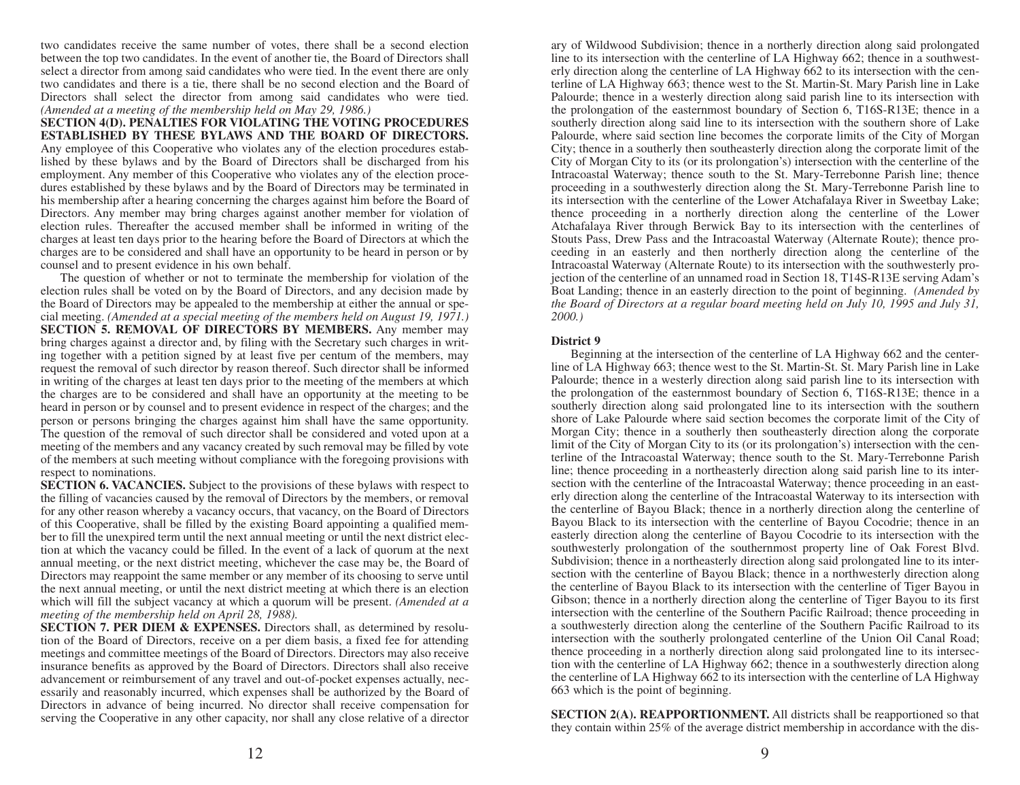two candidates receive the same number of votes, there shall be a second election between the top two candidates. In the event of another tie, the Board of Directors shall select a director from among said candidates who were tied. In the event there are only two candidates and there is a tie, there shall be no second election and the Board of Directors shall select the director from among said candidates who were tied. *(Amended at a meeting of the membership held on May 29, 1986.)* 

**SECTION 4(D). PENALTIES FOR VIOLATING THE VOTING PROCEDURES ESTABLISHED BY THESE BYLAWS AND THE BOARD OF DIRECTORS.** Any employee of this Cooperative who violates any of the election procedures established by these bylaws and by the Board of Directors shall be discharged from his employment. Any member of this Cooperative who violates any of the election procedures established by these bylaws and by the Board of Directors may be terminated in his membership after a hearing concerning the charges against him before the Board of Directors. Any member may bring charges against another member for violation of election rules. Thereafter the accused member shall be informed in writing of the charges at least ten days prior to the hearing before the Board of Directors at which the charges are to be considered and shall have an opportunity to be heard in person or by counsel and to present evidence in his own behalf.

The question of whether or not to terminate the membership for violation of the election rules shall be voted on by the Board of Directors, and any decision made by the Board of Directors may be appealed to the membership at either the annual or special meeting. *(Amended at a special meeting of the members held on August 19, 1971.)*  **SECTION 5. REMOVAL OF DIRECTORS BY MEMBERS.** Any member may bring charges against a director and, by filing with the Secretary such charges in writing together with a petition signed by at least five per centum of the members, may request the removal of such director by reason thereof. Such director shall be informed in writing of the charges at least ten days prior to the meeting of the members at which the charges are to be considered and shall have an opportunity at the meeting to be heard in person or by counsel and to present evidence in respect of the charges; and the person or persons bringing the charges against him shall have the same opportunity. The question of the removal of such director shall be considered and voted upon at a meeting of the members and any vacancy created by such removal may be filled by vote of the members at such meeting without compliance with the foregoing provisions with respect to nominations.

**SECTION 6. VACANCIES.** Subject to the provisions of these bylaws with respect to the filling of vacancies caused by the removal of Directors by the members, or removal for any other reason whereby a vacancy occurs, that vacancy, on the Board of Directors of this Cooperative, shall be filled by the existing Board appointing a qualified member to fill the unexpired term until the next annual meeting or until the next district election at which the vacancy could be filled. In the event of a lack of quorum at the next annual meeting, or the next district meeting, whichever the case may be, the Board of Directors may reappoint the same member or any member of its choosing to serve until the next annual meeting, or until the next district meeting at which there is an election which will fill the subject vacancy at which a quorum will be present. *(Amended at a meeting of the membership held on April 28, 1988).* 

**SECTION 7. PER DIEM & EXPENSES.** Directors shall, as determined by resolution of the Board of Directors, receive on a per diem basis, a fixed fee for attending meetings and committee meetings of the Board of Directors. Directors may also receive insurance benefits as approved by the Board of Directors. Directors shall also receive advancement or reimbursement of any travel and out-of-pocket expenses actually, necessarily and reasonably incurred, which expenses shall be authorized by the Board of Directors in advance of being incurred. No director shall receive compensation for serving the Cooperative in any other capacity, nor shall any close relative of a director ary of Wildwood Subdivision; thence in a northerly direction along said prolongated line to its intersection with the centerline of LA Highway 662; thence in a southwesterly direction along the centerline of LA Highway 662 to its intersection with the centerline of LA Highway 663; thence west to the St. Martin-St. Mary Parish line in Lake Palourde; thence in a westerly direction along said parish line to its intersection with the prolongation of the easternmost boundary of Section 6, T16S-R13E; thence in a southerly direction along said line to its intersection with the southern shore of Lake Palourde, where said section line becomes the corporate limits of the City of Morgan City; thence in a southerly then southeasterly direction along the corporate limit of the City of Morgan City to its (or its prolongation's) intersection with the centerline of the Intracoastal Waterway; thence south to the St. Mary-Terrebonne Parish line; thence proceeding in a southwesterly direction along the St. Mary-Terrebonne Parish line to its intersection with the centerline of the Lower Atchafalaya River in Sweetbay Lake; thence proceeding in a northerly direction along the centerline of the Lower Atchafalaya River through Berwick Bay to its intersection with the centerlines of Stouts Pass, Drew Pass and the Intracoastal Waterway (Alternate Route); thence proceeding in an easterly and then northerly direction along the centerline of the Intracoastal Waterway (Alternate Route) to its intersection with the southwesterly projection of the centerline of an unnamed road in Section 18, T14S-R13E serving Adam's Boat Landing; thence in an easterly direction to the point of beginning. *(Amended by the Board of Directors at a regular board meeting held on July 10, 1995 and July 31, 2000.)* 

## **District 9**

Beginning at the intersection of the centerline of LA Highway 662 and the centerline of LA Highway 663; thence west to the St. Martin-St. St. Mary Parish line in Lake Palourde; thence in a westerly direction along said parish line to its intersection with the prolongation of the easternmost boundary of Section 6, T16S-R13E; thence in a southerly direction along said prolongated line to its intersection with the southern shore of Lake Palourde where said section becomes the corporate limit of the City of Morgan City; thence in a southerly then southeasterly direction along the corporate limit of the City of Morgan City to its (or its prolongation's) intersection with the centerline of the Intracoastal Waterway; thence south to the St. Mary-Terrebonne Parish line; thence proceeding in a northeasterly direction along said parish line to its intersection with the centerline of the Intracoastal Waterway; thence proceeding in an easterly direction along the centerline of the Intracoastal Waterway to its intersection with the centerline of Bayou Black; thence in a northerly direction along the centerline of Bayou Black to its intersection with the centerline of Bayou Cocodrie; thence in an easterly direction along the centerline of Bayou Cocodrie to its intersection with the southwesterly prolongation of the southernmost property line of Oak Forest Blvd. Subdivision; thence in a northeasterly direction along said prolongated line to its intersection with the centerline of Bayou Black; thence in a northwesterly direction along the centerline of Bayou Black to its intersection with the centerline of Tiger Bayou in Gibson; thence in a northerly direction along the centerline of Tiger Bayou to its first intersection with the centerline of the Southern Pacific Railroad; thence proceeding in a southwesterly direction along the centerline of the Southern Pacific Railroad to its intersection with the southerly prolongated centerline of the Union Oil Canal Road; thence proceeding in a northerly direction along said prolongated line to its intersection with the centerline of LA Highway 662; thence in a southwesterly direction along the centerline of LA Highway 662 to its intersection with the centerline of LA Highway 663 which is the point of beginning.

**SECTION 2(A). REAPPORTIONMENT.** All districts shall be reapportioned so that they contain within 25% of the average district membership in accordance with the dis